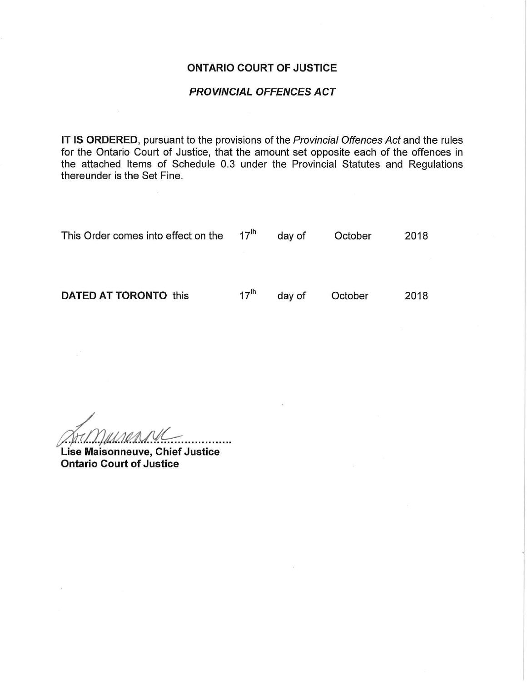#### ONTARIO COURT OF JUSTICE

#### PROVINCIAL OFFENCES ACT

IT IS ORDERED, pursuant to the provisions of the Provincial Offences Act and the rules for the Ontario Court of Justice, that the amount set opposite each of the offences in the attached Items of Schedule 0.3 under the Provincial Statutes and Regulations thereunder is the Set Fine.

| This Order comes into effect on the $17th$ |                  | day of | October | 2018 |
|--------------------------------------------|------------------|--------|---------|------|
|                                            |                  |        |         |      |
| <b>DATED AT TORONTO this</b>               | $17^{\text{th}}$ | day of | October | 2018 |

 $\frac{1}{1}$ 

Lise Maisonneuve, Chief Justice Ontario Court of Justice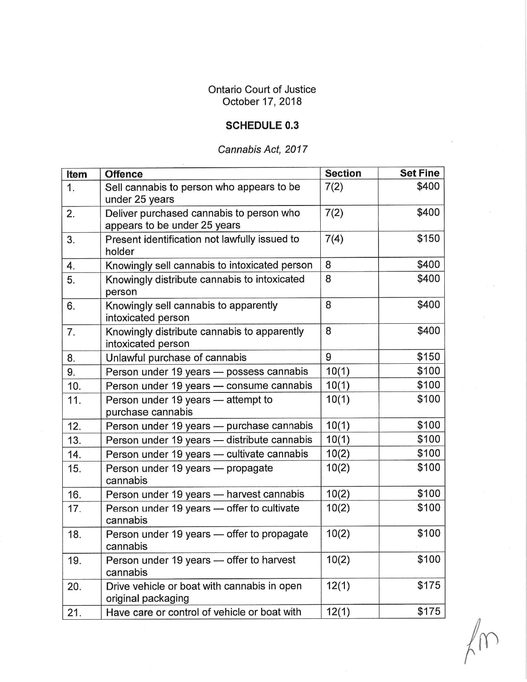## Ontario Court of Justice October 17, 2018

## SCHEDULE 0.3

# Cannabis Act, 2017

| Item | <b>Offence</b>                                                           | <b>Section</b> | <b>Set Fine</b> |
|------|--------------------------------------------------------------------------|----------------|-----------------|
| 1.   | Sell cannabis to person who appears to be<br>under 25 years              | 7(2)           | \$400           |
| 2.   | Deliver purchased cannabis to person who<br>appears to be under 25 years | 7(2)           | \$400           |
| 3.   | Present identification not lawfully issued to<br>holder                  | 7(4)           | \$150           |
| 4.   | Knowingly sell cannabis to intoxicated person                            | 8              | \$400           |
| 5.   | Knowingly distribute cannabis to intoxicated<br>person                   | 8              | \$400           |
| 6.   | Knowingly sell cannabis to apparently<br>intoxicated person              | 8              | \$400           |
| 7.   | Knowingly distribute cannabis to apparently<br>intoxicated person        | 8              | \$400           |
| 8.   | Unlawful purchase of cannabis                                            | 9              | \$150           |
| 9.   | Person under 19 years - possess cannabis                                 | 10(1)          | \$100           |
| 10.  | Person under 19 years - consume cannabis                                 | 10(1)          | \$100           |
| 11.  | Person under 19 years - attempt to<br>purchase cannabis                  | 10(1)          | \$100           |
| 12.  | Person under 19 years - purchase cannabis                                | 10(1)          | \$100           |
| 13.  | Person under 19 years - distribute cannabis                              | 10(1)          | \$100           |
| 14.  | Person under 19 years - cultivate cannabis                               | 10(2)          | \$100           |
| 15.  | Person under 19 years - propagate<br>cannabis                            | 10(2)          | \$100           |
| 16.  | Person under 19 years - harvest cannabis                                 | 10(2)          | \$100           |
| 17.  | Person under 19 years - offer to cultivate<br>cannabis                   | 10(2)          | \$100           |
| 18.  | Person under 19 years - offer to propagate<br>cannabis                   | 10(2)          | \$100           |
| 19.  | Person under 19 years - offer to harvest<br>cannabis                     | 10(2)          | \$100           |
| 20.  | Drive vehicle or boat with cannabis in open<br>original packaging        | 12(1)          | \$175           |
| 21.  | Have care or control of vehicle or boat with                             | 12(1)          | \$175           |